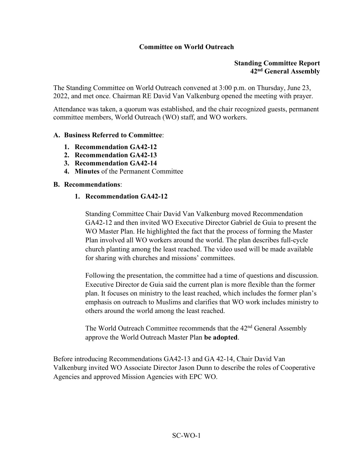## **Committee on World Outreach**

### **Standing Committee Report 42nd General Assembly**

The Standing Committee on World Outreach convened at 3:00 p.m. on Thursday, June 23, 2022, and met once. Chairman RE David Van Valkenburg opened the meeting with prayer.

Attendance was taken, a quorum was established, and the chair recognized guests, permanent committee members, World Outreach (WO) staff, and WO workers.

#### **A. Business Referred to Committee**:

- **1. Recommendation GA42-12**
- **2. Recommendation GA42-13**
- **3. Recommendation GA42-14**
- **4. Minutes** of the Permanent Committee

#### **B. Recommendations**:

#### **1. Recommendation GA42-12**

Standing Committee Chair David Van Valkenburg moved Recommendation GA42-12 and then invited WO Executive Director Gabriel de Guia to present the WO Master Plan. He highlighted the fact that the process of forming the Master Plan involved all WO workers around the world. The plan describes full-cycle church planting among the least reached. The video used will be made available for sharing with churches and missions' committees.

Following the presentation, the committee had a time of questions and discussion. Executive Director de Guia said the current plan is more flexible than the former plan. It focuses on ministry to the least reached, which includes the former plan's emphasis on outreach to Muslims and clarifies that WO work includes ministry to others around the world among the least reached.

The World Outreach Committee recommends that the 42<sup>nd</sup> General Assembly approve the World Outreach Master Plan **be adopted**.

Before introducing Recommendations GA42-13 and GA 42-14, Chair David Van Valkenburg invited WO Associate Director Jason Dunn to describe the roles of Cooperative Agencies and approved Mission Agencies with EPC WO.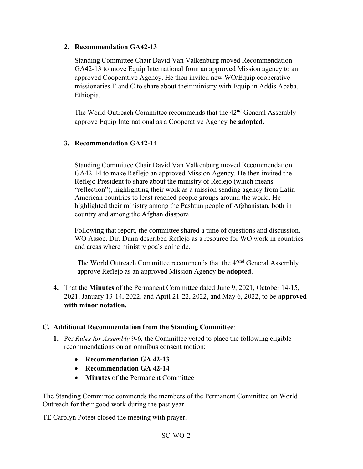## **2. Recommendation GA42-13**

Standing Committee Chair David Van Valkenburg moved Recommendation GA42-13 to move Equip International from an approved Mission agency to an approved Cooperative Agency. He then invited new WO/Equip cooperative missionaries E and C to share about their ministry with Equip in Addis Ababa, Ethiopia.

The World Outreach Committee recommends that the 42<sup>nd</sup> General Assembly approve Equip International as a Cooperative Agency **be adopted**.

# **3. Recommendation GA42-14**

Standing Committee Chair David Van Valkenburg moved Recommendation GA42-14 to make Reflejo an approved Mission Agency. He then invited the Reflejo President to share about the ministry of Reflejo (which means "reflection"), highlighting their work as a mission sending agency from Latin American countries to least reached people groups around the world. He highlighted their ministry among the Pashtun people of Afghanistan, both in country and among the Afghan diaspora.

Following that report, the committee shared a time of questions and discussion. WO Assoc. Dir. Dunn described Reflejo as a resource for WO work in countries and areas where ministry goals coincide.

The World Outreach Committee recommends that the 42<sup>nd</sup> General Assembly approve Reflejo as an approved Mission Agency **be adopted**.

**4.** That the **Minutes** of the Permanent Committee dated June 9, 2021, October 14-15, 2021, January 13-14, 2022, and April 21-22, 2022, and May 6, 2022, to be **approved with minor notation.**

## **C. Additional Recommendation from the Standing Committee**:

- **1.** Per *Rules for Assembly* 9-6, the Committee voted to place the following eligible recommendations on an omnibus consent motion:
	- **Recommendation GA 42-13**
	- **Recommendation GA 42-14**
	- **Minutes** of the Permanent Committee

The Standing Committee commends the members of the Permanent Committee on World Outreach for their good work during the past year.

TE Carolyn Poteet closed the meeting with prayer.